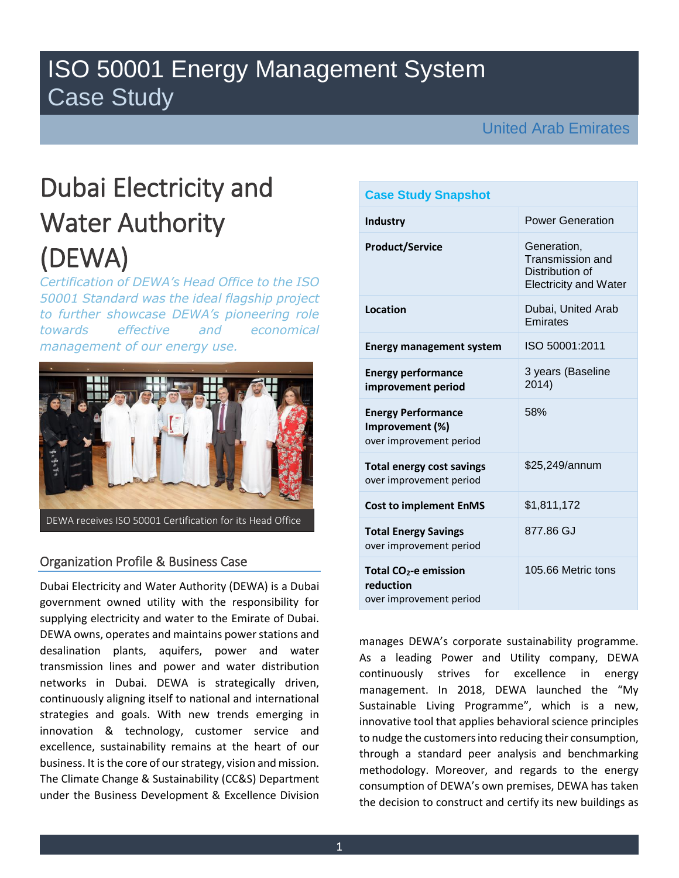# ISO 50001 Energy Management System Case Study

United Arab Emirates

# Dubai Electricity and Water Authority (DEWA)

*Certification of DEWA's Head Office to the ISO 50001 Standard was the ideal flagship project to further showcase DEWA's pioneering role towards effective and economical management of our energy use.* 



# Organization Profile & Business Case

Dubai Electricity and Water Authority (DEWA) is a Dubai government owned utility with the responsibility for supplying electricity and water to the Emirate of Dubai. DEWA owns, operates and maintains power stations and desalination plants, aquifers, power and water transmission lines and power and water distribution networks in Dubai. DEWA is strategically driven, continuously aligning itself to national and international strategies and goals. With new trends emerging in innovation & technology, customer service and excellence, sustainability remains at the heart of our business. It is the core of our strategy, vision and mission. The Climate Change & Sustainability (CC&S) Department under the Business Development & Excellence Division

| <b>Case Study Snapshot</b>                                              |                                                                                    |  |  |  |
|-------------------------------------------------------------------------|------------------------------------------------------------------------------------|--|--|--|
| <b>Industry</b>                                                         | <b>Power Generation</b>                                                            |  |  |  |
| <b>Product/Service</b>                                                  | Generation,<br>Transmission and<br>Distribution of<br><b>Electricity and Water</b> |  |  |  |
| Location                                                                | Dubai, United Arab<br>Emirates                                                     |  |  |  |
| <b>Energy management system</b>                                         | ISO 50001:2011                                                                     |  |  |  |
| <b>Energy performance</b><br>improvement period                         | 3 years (Baseline<br>2014)                                                         |  |  |  |
| <b>Energy Performance</b><br>Improvement (%)<br>over improvement period | 58%                                                                                |  |  |  |
| <b>Total energy cost savings</b><br>over improvement period             | \$25,249/annum                                                                     |  |  |  |
| <b>Cost to implement EnMS</b>                                           | \$1,811,172                                                                        |  |  |  |
| <b>Total Energy Savings</b><br>over improvement period                  | 877.86 GJ                                                                          |  |  |  |
| Total $CO2$ -e emission<br>reduction<br>over improvement period         | 105.66 Metric tons                                                                 |  |  |  |

manages DEWA's corporate sustainability programme. As a leading Power and Utility company, DEWA continuously strives for excellence in energy management. In 2018, DEWA launched the "My Sustainable Living Programme", which is a new, innovative tool that applies behavioral science principles to nudge the customers into reducing their consumption, through a standard peer analysis and benchmarking methodology. Moreover, and regards to the energy consumption of DEWA's own premises, DEWA has taken the decision to construct and certify its new buildings as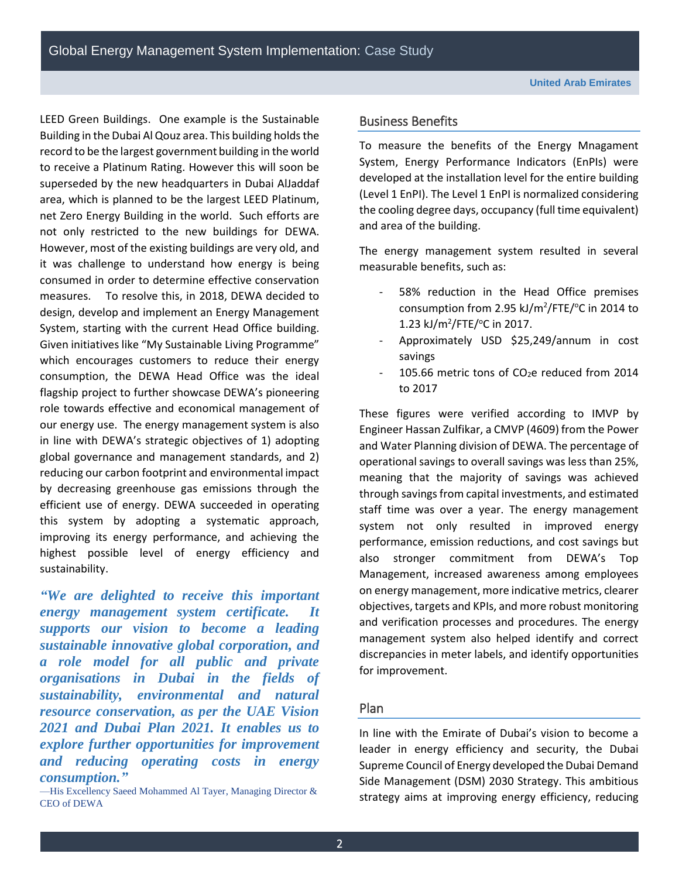LEED Green Buildings. One example is the Sustainable Building in the Dubai AlQouz area. This building holds the record to be the largest government building in the world to receive a Platinum Rating. However this will soon be superseded by the new headquarters in Dubai AlJaddaf area, which is planned to be the largest LEED Platinum, net Zero Energy Building in the world. Such efforts are not only restricted to the new buildings for DEWA. However, most of the existing buildings are very old, and it was challenge to understand how energy is being consumed in order to determine effective conservation measures. To resolve this, in 2018, DEWA decided to design, develop and implement an Energy Management System, starting with the current Head Office building. Given initiatives like "My Sustainable Living Programme" which encourages customers to reduce their energy consumption, the DEWA Head Office was the ideal flagship project to further showcase DEWA's pioneering role towards effective and economical management of our energy use. The energy management system is also in line with DEWA's strategic objectives of 1) adopting global governance and management standards, and 2) reducing our carbon footprint and environmental impact by decreasing greenhouse gas emissions through the efficient use of energy. DEWA succeeded in operating this system by adopting a systematic approach, improving its energy performance, and achieving the highest possible level of energy efficiency and sustainability.

*"We are delighted to receive this important energy management system certificate. It supports our vision to become a leading sustainable innovative global corporation, and a role model for all public and private organisations in Dubai in the fields of sustainability, environmental and natural resource conservation, as per the UAE Vision 2021 and Dubai Plan 2021. It enables us to explore further opportunities for improvement and reducing operating costs in energy consumption."*

—His Excellency Saeed Mohammed Al Tayer, Managing Director & CEO of DEWA

#### Business Benefits

To measure the benefits of the Energy Mnagament System, Energy Performance Indicators (EnPIs) were developed at the installation level for the entire building (Level 1 EnPI). The Level 1 EnPI is normalized considering the cooling degree days, occupancy (full time equivalent) and area of the building.

The energy management system resulted in several measurable benefits, such as:

- 58% reduction in the Head Office premises consumption from 2.95 kJ/m<sup>2</sup>/FTE/ $\degree$ C in 2014 to 1.23 kJ/m<sup>2</sup>/FTE/ $\degree$ C in 2017.
- Approximately USD \$25,249/annum in cost savings
- 105.66 metric tons of  $CO<sub>2</sub>e$  reduced from 2014 to 2017

These figures were verified according to IMVP by Engineer Hassan Zulfikar, a CMVP (4609) from the Power and Water Planning division of DEWA. The percentage of operational savings to overall savings was less than 25%, meaning that the majority of savings was achieved through savings from capital investments, and estimated staff time was over a year. The energy management system not only resulted in improved energy performance, emission reductions, and cost savings but also stronger commitment from DEWA's Top Management, increased awareness among employees on energy management, more indicative metrics, clearer objectives, targets and KPIs, and more robust monitoring and verification processes and procedures. The energy management system also helped identify and correct discrepancies in meter labels, and identify opportunities for improvement.

# Plan

In line with the Emirate of Dubai's vision to become a leader in energy efficiency and security, the Dubai Supreme Council of Energy developed the Dubai Demand Side Management (DSM) 2030 Strategy. This ambitious strategy aims at improving energy efficiency, reducing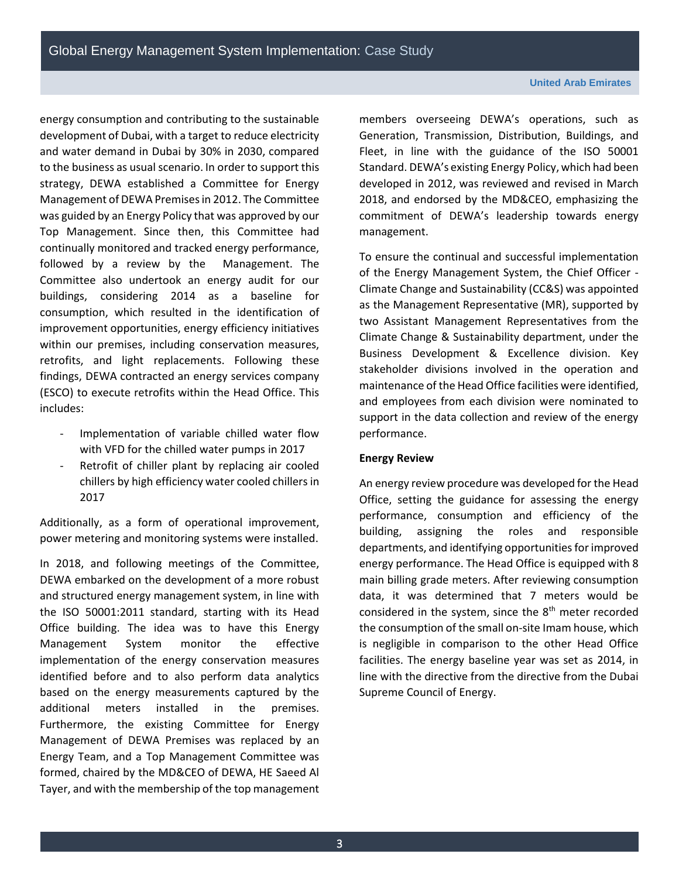energy consumption and contributing to the sustainable development of Dubai, with a target to reduce electricity and water demand in Dubai by 30% in 2030, compared to the business as usual scenario. In order to support this strategy, DEWA established a Committee for Energy Management of DEWA Premisesin 2012. The Committee was guided by an Energy Policy that was approved by our Top Management. Since then, this Committee had continually monitored and tracked energy performance, followed by a review by the Management. The Committee also undertook an energy audit for our buildings, considering 2014 as a baseline for consumption, which resulted in the identification of improvement opportunities, energy efficiency initiatives within our premises, including conservation measures, retrofits, and light replacements. Following these findings, DEWA contracted an energy services company (ESCO) to execute retrofits within the Head Office. This includes:

- Implementation of variable chilled water flow with VFD for the chilled water pumps in 2017
- Retrofit of chiller plant by replacing air cooled chillers by high efficiency water cooled chillers in 2017

Additionally, as a form of operational improvement, power metering and monitoring systems were installed.

In 2018, and following meetings of the Committee, DEWA embarked on the development of a more robust and structured energy management system, in line with the ISO 50001:2011 standard, starting with its Head Office building. The idea was to have this Energy Management System monitor the effective implementation of the energy conservation measures identified before and to also perform data analytics based on the energy measurements captured by the additional meters installed in the premises. Furthermore, the existing Committee for Energy Management of DEWA Premises was replaced by an Energy Team, and a Top Management Committee was formed, chaired by the MD&CEO of DEWA, HE Saeed Al Tayer, and with the membership of the top management members overseeing DEWA's operations, such as Generation, Transmission, Distribution, Buildings, and Fleet, in line with the guidance of the ISO 50001 Standard. DEWA's existing Energy Policy, which had been developed in 2012, was reviewed and revised in March 2018, and endorsed by the MD&CEO, emphasizing the commitment of DEWA's leadership towards energy management.

To ensure the continual and successful implementation of the Energy Management System, the Chief Officer - Climate Change and Sustainability (CC&S) was appointed as the Management Representative (MR), supported by two Assistant Management Representatives from the Climate Change & Sustainability department, under the Business Development & Excellence division. Key stakeholder divisions involved in the operation and maintenance of the Head Office facilities were identified, and employees from each division were nominated to support in the data collection and review of the energy performance.

#### **Energy Review**

An energy review procedure was developed for the Head Office, setting the guidance for assessing the energy performance, consumption and efficiency of the building, assigning the roles and responsible departments, and identifying opportunities for improved energy performance. The Head Office is equipped with 8 main billing grade meters. After reviewing consumption data, it was determined that 7 meters would be considered in the system, since the 8<sup>th</sup> meter recorded the consumption of the small on-site Imam house, which is negligible in comparison to the other Head Office facilities. The energy baseline year was set as 2014, in line with the directive from the directive from the Dubai Supreme Council of Energy.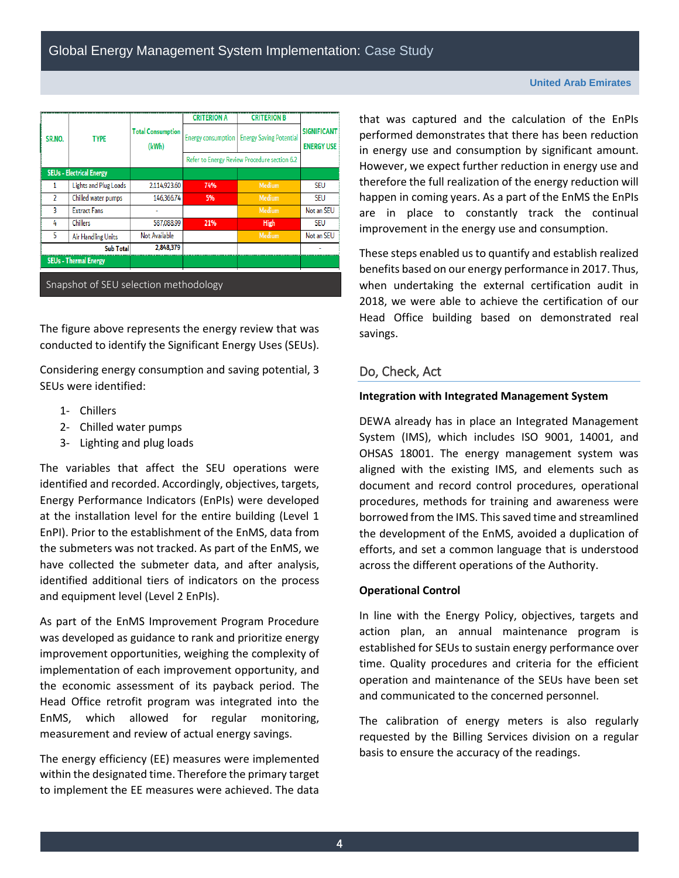|                                       |                                 |                                   | <b>CRITERION A</b> | <b>CRITERION B</b>                           |                                         |  |
|---------------------------------------|---------------------------------|-----------------------------------|--------------------|----------------------------------------------|-----------------------------------------|--|
| SR.NO.                                | <b>TYPE</b>                     | <b>Total Consumption</b><br>(kWh) | Energy consumption | <b>Energy Saving Potential</b>               | <b>SIGNIFICANT</b><br><b>ENERGY USE</b> |  |
|                                       |                                 |                                   |                    | Refer to Energy Review Procedure section 6.2 |                                         |  |
|                                       | <b>SEUs - Electrical Energy</b> |                                   |                    |                                              |                                         |  |
| 1                                     | Lights and Plug Loads           | 2,114,923,60                      | 74%                | Medium                                       | <b>SEU</b>                              |  |
| 2                                     | Chilled water pumps             | 146,366,74                        | 5%                 | Medium                                       | <b>SEU</b>                              |  |
| 3                                     | <b>Extract Fans</b>             |                                   |                    | Medium                                       | Not an SEU                              |  |
| 4                                     | <b>Chillers</b>                 | 587,088,99                        | 21%                | High                                         | SEU                                     |  |
| 5                                     | <b>Air Handling Units</b>       | Not Available                     |                    | Medium                                       | Not an SEU                              |  |
|                                       | <b>Sub Total</b>                | 2,848,379                         |                    |                                              |                                         |  |
| <b>SEUs - Thermal Energy</b>          |                                 |                                   |                    |                                              |                                         |  |
| Snapshot of SEU selection methodology |                                 |                                   |                    |                                              |                                         |  |

The figure above represents the energy review that was conducted to identify the Significant Energy Uses (SEUs).

Considering energy consumption and saving potential, 3 SEUs were identified:

- 1- Chillers
- 2- Chilled water pumps
- 3- Lighting and plug loads

The variables that affect the SEU operations were identified and recorded. Accordingly, objectives, targets, Energy Performance Indicators (EnPIs) were developed at the installation level for the entire building (Level 1 EnPI). Prior to the establishment of the EnMS, data from the submeters was not tracked. As part of the EnMS, we have collected the submeter data, and after analysis, identified additional tiers of indicators on the process and equipment level (Level 2 EnPIs).

As part of the EnMS Improvement Program Procedure was developed as guidance to rank and prioritize energy improvement opportunities, weighing the complexity of implementation of each improvement opportunity, and the economic assessment of its payback period. The Head Office retrofit program was integrated into the EnMS, which allowed for regular monitoring, measurement and review of actual energy savings.

The energy efficiency (EE) measures were implemented within the designated time. Therefore the primary target to implement the EE measures were achieved. The data that was captured and the calculation of the EnPIs performed demonstrates that there has been reduction in energy use and consumption by significant amount. However, we expect further reduction in energy use and therefore the full realization of the energy reduction will happen in coming years. As a part of the EnMS the EnPIs are in place to constantly track the continual improvement in the energy use and consumption.

These steps enabled us to quantify and establish realized benefits based on our energy performance in 2017. Thus, when undertaking the external certification audit in 2018, we were able to achieve the certification of our Head Office building based on demonstrated real savings.

# Do, Check, Act

#### **Integration with Integrated Management System**

DEWA already has in place an Integrated Management System (IMS), which includes ISO 9001, 14001, and OHSAS 18001. The energy management system was aligned with the existing IMS, and elements such as document and record control procedures, operational procedures, methods for training and awareness were borrowed from the IMS. This saved time and streamlined the development of the EnMS, avoided a duplication of efforts, and set a common language that is understood across the different operations of the Authority.

#### **Operational Control**

In line with the Energy Policy, objectives, targets and action plan, an annual maintenance program is established for SEUs to sustain energy performance over time. Quality procedures and criteria for the efficient operation and maintenance of the SEUs have been set and communicated to the concerned personnel.

The calibration of energy meters is also regularly requested by the Billing Services division on a regular basis to ensure the accuracy of the readings.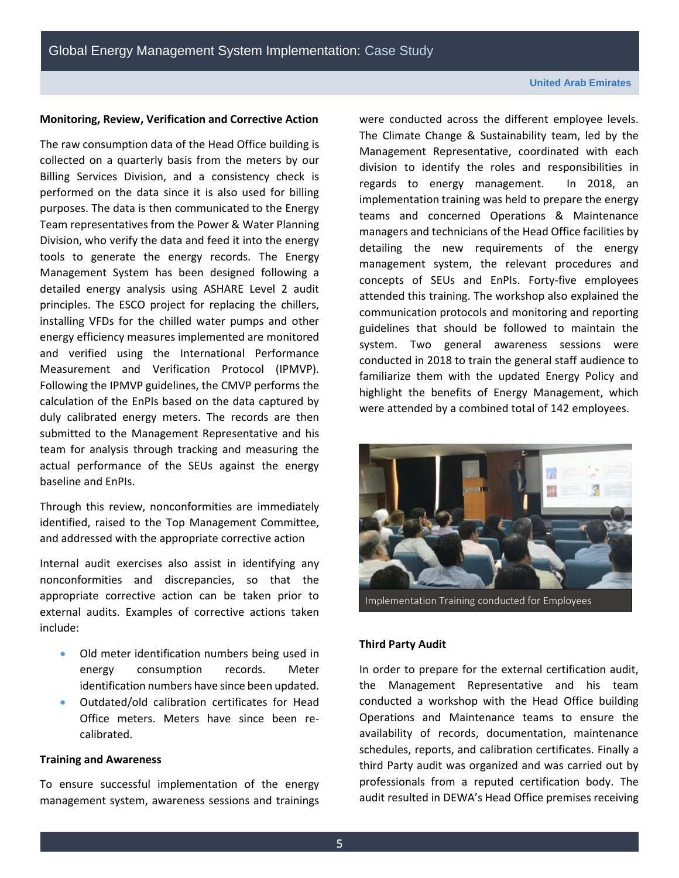#### **Monitoring, Review, Verification and Corrective Action**

The raw consumption data of the Head Office building is collected on a quarterly basis from the meters by our Billing Services Division, and a consistency check is performed on the data since it is also used for billing purposes. The data is then communicated to the Energy Team representatives from the Power & Water Planning Division, who verify the data and feed it into the energy tools to generate the energy records. The Energy Management System has been designed following a detailed energy analysis using ASHARE Level 2 audit principles. The ESCO project for replacing the chillers, installing VFDs for the chilled water pumps and other energy efficiency measures implemented are monitored and verified using the International Performance Measurement and Verification Protocol (IPMVP). Following the IPMVP guidelines, the CMVP performs the calculation of the EnPIs based on the data captured by duly calibrated energy meters. The records are then submitted to the Management Representative and his team for analysis through tracking and measuring the actual performance of the SEUs against the energy baseline and EnPIs.

Through this review, nonconformities are immediately identified, raised to the Top Management Committee, and addressed with the appropriate corrective action

Internal audit exercises also assist in identifying any nonconformities and discrepancies, so that the appropriate corrective action can be taken prior to external audits. Examples of corrective actions taken include:

- Old meter identification numbers being used in energy consumption records. Meter identification numbers have since been updated.
- Outdated/old calibration certificates for Head Office meters. Meters have since been recalibrated.

#### **Training and Awareness**

To ensure successful implementation of the energy management system, awareness sessions and trainings were conducted across the different employee levels. The Climate Change & Sustainability team, led by the Management Representative, coordinated with each division to identify the roles and responsibilities in regards to energy management. In 2018, an implementation training was held to prepare the energy teams and concerned Operations & Maintenance managers and technicians of the Head Office facilities by detailing the new requirements of the energy management system, the relevant procedures and concepts of SEUs and EnPIs. Forty-five employees attended this training. The workshop also explained the communication protocols and monitoring and reporting guidelines that should be followed to maintain the system. Two general awareness sessions were conducted in 2018 to train the general staff audience to familiarize them with the updated Energy Policy and highlight the benefits of Energy Management, which were attended by a combined total of 142 employees.



Implementation Training conducted for Employees

#### **Third Party Audit**

In order to prepare for the external certification audit, the Management Representative and his team conducted a workshop with the Head Office building Operations and Maintenance teams to ensure the availability of records, documentation, maintenance schedules, reports, and calibration certificates. Finally a third Party audit was organized and was carried out by professionals from a reputed certification body. The audit resulted in DEWA's Head Office premises receiving